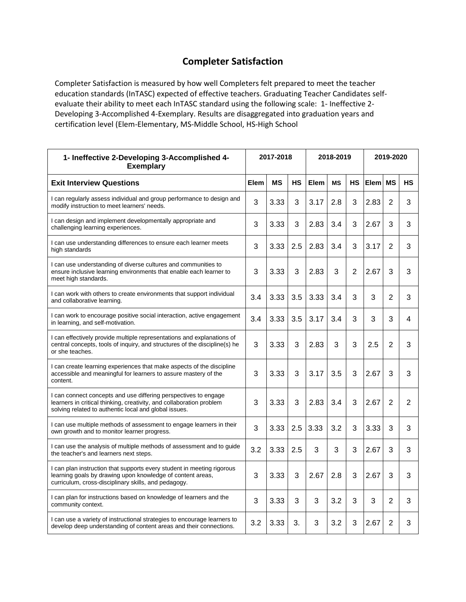## **Completer Satisfaction**

Completer Satisfaction is measured by how well Completers felt prepared to meet the teacher education standards (InTASC) expected of effective teachers. Graduating Teacher Candidates selfevaluate their ability to meet each InTASC standard using the following scale: 1- Ineffective 2- Developing 3-Accomplished 4-Exemplary. Results are disaggregated into graduation years and certification level (Elem-Elementary, MS-Middle School, HS-High School

| 1- Ineffective 2-Developing 3-Accomplished 4-<br><b>Exemplary</b>                                                                                                                                | 2017-2018 |           |     | 2018-2019 |           |                | 2019-2020 |                |           |
|--------------------------------------------------------------------------------------------------------------------------------------------------------------------------------------------------|-----------|-----------|-----|-----------|-----------|----------------|-----------|----------------|-----------|
| <b>Exit Interview Questions</b>                                                                                                                                                                  | Elem      | <b>MS</b> | HS  | Elem      | <b>MS</b> | <b>HS</b>      | Elem      | <b>MS</b>      | <b>HS</b> |
| I can regularly assess individual and group performance to design and<br>modify instruction to meet learners' needs.                                                                             | 3         | 3.33      | 3   | 3.17      | 2.8       | 3              | 2.83      | $\overline{2}$ | 3         |
| I can design and implement developmentally appropriate and<br>challenging learning experiences.                                                                                                  | 3         | 3.33      | 3   | 2.83      | 3.4       | 3              | 2.67      | 3              | 3         |
| I can use understanding differences to ensure each learner meets<br>high standards                                                                                                               | 3         | 3.33      | 2.5 | 2.83      | 3.4       | 3              | 3.17      | $\overline{2}$ | 3         |
| I can use understanding of diverse cultures and communities to<br>ensure inclusive learning environments that enable each learner to<br>meet high standards.                                     | 3         | 3.33      | 3   | 2.83      | 3         | $\overline{2}$ | 2.67      | 3              | 3         |
| I can work with others to create environments that support individual<br>and collaborative learning.                                                                                             | 3.4       | 3.33      | 3.5 | 3.33      | 3.4       | 3              | 3         | $\overline{2}$ | 3         |
| I can work to encourage positive social interaction, active engagement<br>in learning, and self-motivation.                                                                                      | 3.4       | 3.33      | 3.5 | 3.17      | 3.4       | 3              | 3         | 3              | 4         |
| I can effectively provide multiple representations and explanations of<br>central concepts, tools of inquiry, and structures of the discipline(s) he<br>or she teaches.                          | 3         | 3.33      | 3   | 2.83      | 3         | 3              | 2.5       | $\overline{2}$ | 3         |
| I can create learning experiences that make aspects of the discipline<br>accessible and meaningful for learners to assure mastery of the<br>content.                                             | 3         | 3.33      | 3   | 3.17      | 3.5       | 3              | 2.67      | 3              | 3         |
| I can connect concepts and use differing perspectives to engage<br>learners in critical thinking, creativity, and collaboration problem<br>solving related to authentic local and global issues. | 3         | 3.33      | 3   | 2.83      | 3.4       | 3              | 2.67      | $\overline{2}$ | 2         |
| I can use multiple methods of assessment to engage learners in their<br>own growth and to monitor learner progress.                                                                              | 3         | 3.33      | 2.5 | 3.33      | 3.2       | 3              | 3.33      | 3              | 3         |
| I can use the analysis of multiple methods of assessment and to guide<br>the teacher's and learners next steps.                                                                                  | 3.2       | 3.33      | 2.5 | 3         | 3         | 3              | 2.67      | 3              | 3         |
| I can plan instruction that supports every student in meeting rigorous<br>learning goals by drawing upon knowledge of content areas,<br>curriculum, cross-disciplinary skills, and pedagogy.     | 3         | 3.33      | 3   | 2.67      | 2.8       | 3              | 2.67      | 3              | 3         |
| I can plan for instructions based on knowledge of learners and the<br>community context.                                                                                                         | 3         | 3.33      | 3   | 3         | 3.2       | 3              | 3         | 2              | 3         |
| I can use a variety of instructional strategies to encourage learners to<br>develop deep understanding of content areas and their connections.                                                   | 3.2       | 3.33      | 3.  | 3         | 3.2       | 3              | 2.67      | 2              | 3         |